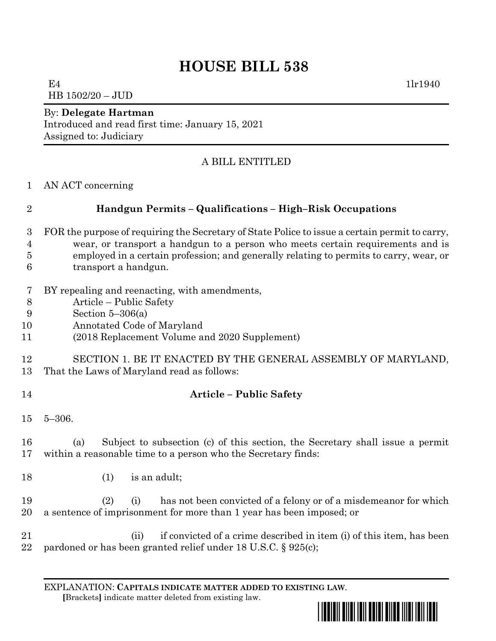# **HOUSE BILL 538**

 $E4$  1lr1940 HB 1502/20 – JUD

# By: **Delegate Hartman**

Introduced and read first time: January 15, 2021 Assigned to: Judiciary

# A BILL ENTITLED

AN ACT concerning

# **Handgun Permits – Qualifications – High–Risk Occupations**

- FOR the purpose of requiring the Secretary of State Police to issue a certain permit to carry, wear, or transport a handgun to a person who meets certain requirements and is employed in a certain profession; and generally relating to permits to carry, wear, or transport a handgun.
- BY repealing and reenacting, with amendments,
- Article Public Safety
- Section 5–306(a)
- Annotated Code of Maryland
- (2018 Replacement Volume and 2020 Supplement)

#### SECTION 1. BE IT ENACTED BY THE GENERAL ASSEMBLY OF MARYLAND, That the Laws of Maryland read as follows:

- 
- **Article – Public Safety**
- 5–306.

 (a) Subject to subsection (c) of this section, the Secretary shall issue a permit within a reasonable time to a person who the Secretary finds:

18 (1) is an adult;

 (2) (i) has not been convicted of a felony or of a misdemeanor for which a sentence of imprisonment for more than 1 year has been imposed; or

 (ii) if convicted of a crime described in item (i) of this item, has been pardoned or has been granted relief under 18 U.S.C. § 925(c);

EXPLANATION: **CAPITALS INDICATE MATTER ADDED TO EXISTING LAW**.  **[**Brackets**]** indicate matter deleted from existing law.

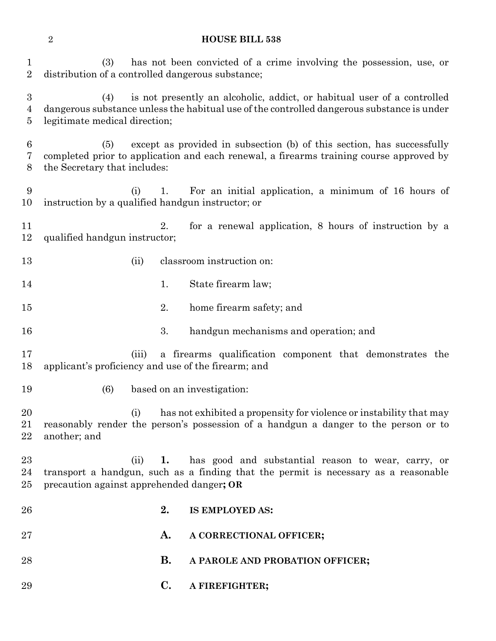**HOUSE BILL 538**

 (3) has not been convicted of a crime involving the possession, use, or distribution of a controlled dangerous substance;

 (4) is not presently an alcoholic, addict, or habitual user of a controlled dangerous substance unless the habitual use of the controlled dangerous substance is under legitimate medical direction;

 (5) except as provided in subsection (b) of this section, has successfully completed prior to application and each renewal, a firearms training course approved by the Secretary that includes:

 (i) 1. For an initial application, a minimum of 16 hours of instruction by a qualified handgun instructor; or

 2. for a renewal application, 8 hours of instruction by a qualified handgun instructor;

- (ii) classroom instruction on:
- 14 1. State firearm law;
- 2. home firearm safety; and
- 3. handgun mechanisms and operation; and
- (iii) a firearms qualification component that demonstrates the applicant's proficiency and use of the firearm; and
- (6) based on an investigation:

20 (i) has not exhibited a propensity for violence or instability that may reasonably render the person's possession of a handgun a danger to the person or to another; and

 (ii) **1.** has good and substantial reason to wear, carry, or transport a handgun, such as a finding that the permit is necessary as a reasonable precaution against apprehended danger**; OR**

 **2. IS EMPLOYED AS: A. A CORRECTIONAL OFFICER; B. A PAROLE AND PROBATION OFFICER; C. A FIREFIGHTER;**